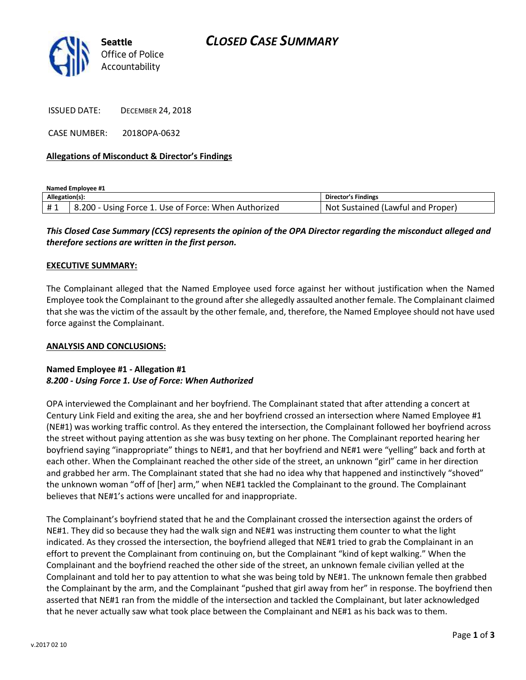

ISSUED DATE: DECEMBER 24, 2018

CASE NUMBER: 2018OPA-0632

### **Allegations of Misconduct & Director's Findings**

**Named Employee #1**

| Allegation(s): |                                                      | <b>Director's Findings</b>               |
|----------------|------------------------------------------------------|------------------------------------------|
| #1             | 8.200 - Using Force 1. Use of Force: When Authorized | . Sustained (Lawful and Proper).<br>Not. |

# *This Closed Case Summary (CCS) represents the opinion of the OPA Director regarding the misconduct alleged and therefore sections are written in the first person.*

#### **EXECUTIVE SUMMARY:**

The Complainant alleged that the Named Employee used force against her without justification when the Named Employee took the Complainant to the ground after she allegedly assaulted another female. The Complainant claimed that she was the victim of the assault by the other female, and, therefore, the Named Employee should not have used force against the Complainant.

#### **ANALYSIS AND CONCLUSIONS:**

## **Named Employee #1 - Allegation #1** *8.200 - Using Force 1. Use of Force: When Authorized*

OPA interviewed the Complainant and her boyfriend. The Complainant stated that after attending a concert at Century Link Field and exiting the area, she and her boyfriend crossed an intersection where Named Employee #1 (NE#1) was working traffic control. As they entered the intersection, the Complainant followed her boyfriend across the street without paying attention as she was busy texting on her phone. The Complainant reported hearing her boyfriend saying "inappropriate" things to NE#1, and that her boyfriend and NE#1 were "yelling" back and forth at each other. When the Complainant reached the other side of the street, an unknown "girl" came in her direction and grabbed her arm. The Complainant stated that she had no idea why that happened and instinctively "shoved" the unknown woman "off of [her] arm," when NE#1 tackled the Complainant to the ground. The Complainant believes that NE#1's actions were uncalled for and inappropriate.

The Complainant's boyfriend stated that he and the Complainant crossed the intersection against the orders of NE#1. They did so because they had the walk sign and NE#1 was instructing them counter to what the light indicated. As they crossed the intersection, the boyfriend alleged that NE#1 tried to grab the Complainant in an effort to prevent the Complainant from continuing on, but the Complainant "kind of kept walking." When the Complainant and the boyfriend reached the other side of the street, an unknown female civilian yelled at the Complainant and told her to pay attention to what she was being told by NE#1. The unknown female then grabbed the Complainant by the arm, and the Complainant "pushed that girl away from her" in response. The boyfriend then asserted that NE#1 ran from the middle of the intersection and tackled the Complainant, but later acknowledged that he never actually saw what took place between the Complainant and NE#1 as his back was to them.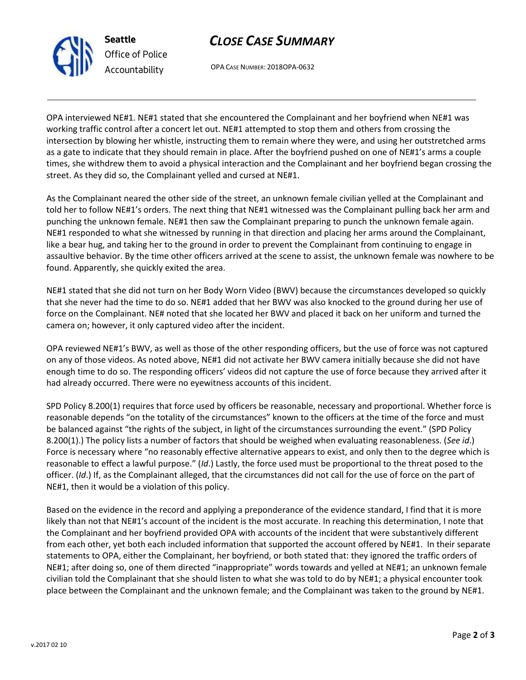

**Seattle** *Office of Police Accountability*

OPA CASE NUMBER: 2018OPA-0632

*CLOSE CASE SUMMARY*

OPA interviewed NE#1. NE#1 stated that she encountered the Complainant and her boyfriend when NE#1 was working traffic control after a concert let out. NE#1 attempted to stop them and others from crossing the intersection by blowing her whistle, instructing them to remain where they were, and using her outstretched arms as a gate to indicate that they should remain in place. After the boyfriend pushed on one of NE#1's arms a couple times, she withdrew them to avoid a physical interaction and the Complainant and her boyfriend began crossing the street. As they did so, the Complainant yelled and cursed at NE#1.

As the Complainant neared the other side of the street, an unknown female civilian yelled at the Complainant and told her to follow NE#1's orders. The next thing that NE#1 witnessed was the Complainant pulling back her arm and punching the unknown female. NE#1 then saw the Complainant preparing to punch the unknown female again. NE#1 responded to what she witnessed by running in that direction and placing her arms around the Complainant, like a bear hug, and taking her to the ground in order to prevent the Complainant from continuing to engage in assaultive behavior. By the time other officers arrived at the scene to assist, the unknown female was nowhere to be found. Apparently, she quickly exited the area.

NE#1 stated that she did not turn on her Body Worn Video (BWV) because the circumstances developed so quickly that she never had the time to do so. NE#1 added that her BWV was also knocked to the ground during her use of force on the Complainant. NE# noted that she located her BWV and placed it back on her uniform and turned the camera on; however, it only captured video after the incident.

OPA reviewed NE#1's BWV, as well as those of the other responding officers, but the use of force was not captured on any of those videos. As noted above, NE#1 did not activate her BWV camera initially because she did not have enough time to do so. The responding officers' videos did not capture the use of force because they arrived after it had already occurred. There were no eyewitness accounts of this incident.

SPD Policy 8.200(1) requires that force used by officers be reasonable, necessary and proportional. Whether force is reasonable depends "on the totality of the circumstances" known to the officers at the time of the force and must be balanced against "the rights of the subject, in light of the circumstances surrounding the event." (SPD Policy 8.200(1).) The policy lists a number of factors that should be weighed when evaluating reasonableness. (*See id*.) Force is necessary where "no reasonably effective alternative appears to exist, and only then to the degree which is reasonable to effect a lawful purpose." (*Id*.) Lastly, the force used must be proportional to the threat posed to the officer. (*Id*.) If, as the Complainant alleged, that the circumstances did not call for the use of force on the part of NE#1, then it would be a violation of this policy.

Based on the evidence in the record and applying a preponderance of the evidence standard, I find that it is more likely than not that NE#1's account of the incident is the most accurate. In reaching this determination, I note that the Complainant and her boyfriend provided OPA with accounts of the incident that were substantively different from each other, yet both each included information that supported the account offered by NE#1. In their separate statements to OPA, either the Complainant, her boyfriend, or both stated that: they ignored the traffic orders of NE#1; after doing so, one of them directed "inappropriate" words towards and yelled at NE#1; an unknown female civilian told the Complainant that she should listen to what she was told to do by NE#1; a physical encounter took place between the Complainant and the unknown female; and the Complainant was taken to the ground by NE#1.